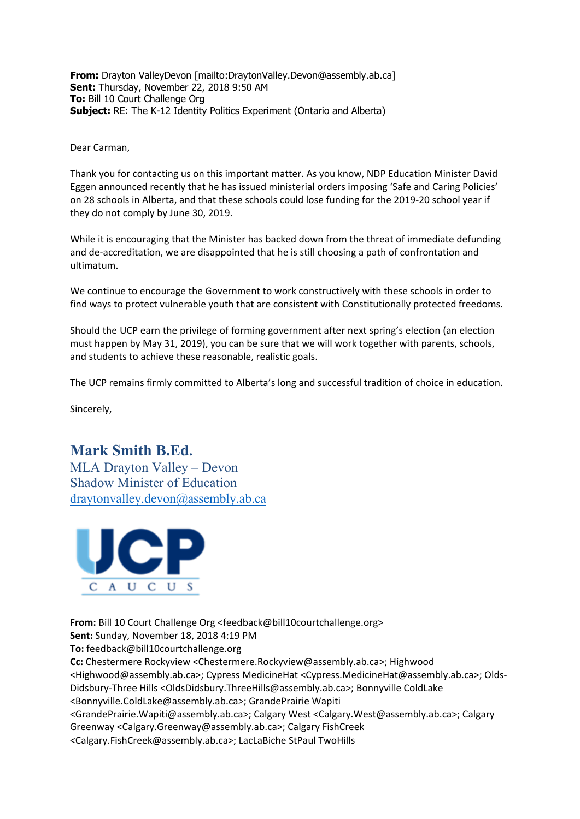**From:** Drayton ValleyDevon [\[mailto:DraytonValley.Devon@assembly.ab.ca\]](mailto:DraytonValley.Devon@assembly.ab.ca) **Sent:** Thursday, November 22, 2018 9:50 AM **To:** Bill 10 Court Challenge Org **Subject:** RE: The K-12 Identity Politics Experiment (Ontario and Alberta)

Dear Carman,

Thank you for contacting us on this important matter. As you know, NDP Education Minister David Eggen announced recently that he has issued ministerial orders imposing 'Safe and Caring Policies' on 28 schools in Alberta, and that these schools could lose funding for the 2019-20 school year if they do not comply by June 30, 2019.

While it is encouraging that the Minister has backed down from the threat of immediate defunding and de-accreditation, we are disappointed that he is still choosing a path of confrontation and ultimatum.

We continue to encourage the Government to work constructively with these schools in order to find ways to protect vulnerable youth that are consistent with Constitutionally protected freedoms.

Should the UCP earn the privilege of forming government after next spring's election (an election must happen by May 31, 2019), you can be sure that we will work together with parents, schools, and students to achieve these reasonable, realistic goals.

The UCP remains firmly committed to Alberta's long and successful tradition of choice in education.

Sincerely,

## **Mark Smith B.Ed.**

MLA Drayton Valley – Devon Shadow Minister of Education [draytonvalley.devon@assembly.ab.ca](mailto:draytonvalley.devon@assembly.ab.ca)



**From:** Bill 10 Court Challenge Or[g <feedback@bill10courtchallenge.org>](mailto:feedback@bill10courtchallenge.org) **Sent:** Sunday, November 18, 2018 4:19 PM **To:** [feedback@bill10courtchallenge.org](mailto:feedback@bill10courtchallenge.org) **Cc:** Chestermere Rockyview [<Chestermere.Rockyview@assembly.ab.ca>](mailto:Chestermere.Rockyview@assembly.ab.ca); Highwood [<Highwood@assembly.ab.ca>](mailto:Highwood@assembly.ab.ca); Cypress MedicineHa[t <Cypress.MedicineHat@assembly.ab.ca>](mailto:Cypress.MedicineHat@assembly.ab.ca); Olds-Didsbury-Three Hills [<OldsDidsbury.ThreeHills@assembly.ab.ca>](mailto:OldsDidsbury.ThreeHills@assembly.ab.ca); Bonnyville ColdLake [<Bonnyville.ColdLake@assembly.ab.ca>](mailto:Bonnyville.ColdLake@assembly.ab.ca); GrandePrairie Wapiti [<GrandePrairie.Wapiti@assembly.ab.ca>](mailto:GrandePrairie.Wapiti@assembly.ab.ca); Calgary West [<Calgary.West@assembly.ab.ca>;](mailto:Calgary.West@assembly.ab.ca) Calgary Greenway [<Calgary.Greenway@assembly.ab.ca>;](mailto:Calgary.Greenway@assembly.ab.ca) Calgary FishCreek [<Calgary.FishCreek@assembly.ab.ca>](mailto:Calgary.FishCreek@assembly.ab.ca); LacLaBiche StPaul TwoHills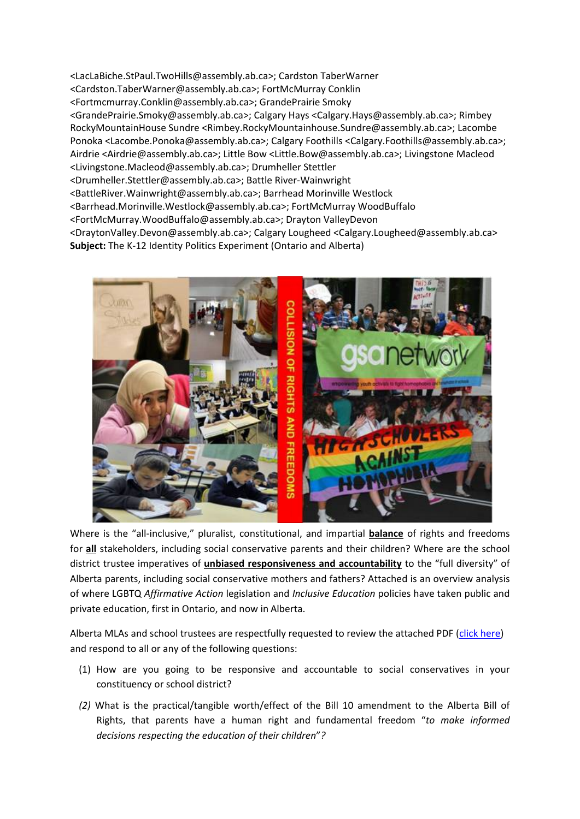[<LacLaBiche.StPaul.TwoHills@assembly.ab.ca>](mailto:LacLaBiche.StPaul.TwoHills@assembly.ab.ca); Cardston TaberWarner [<Cardston.TaberWarner@assembly.ab.ca>](mailto:Cardston.TaberWarner@assembly.ab.ca); FortMcMurray Conklin [<Fortmcmurray.Conklin@assembly.ab.ca>](mailto:Fortmcmurray.Conklin@assembly.ab.ca); GrandePrairie Smoky [<GrandePrairie.Smoky@assembly.ab.ca>](mailto:GrandePrairie.Smoky@assembly.ab.ca); Calgary Hays [<Calgary.Hays@assembly.ab.ca>](mailto:Calgary.Hays@assembly.ab.ca); Rimbey RockyMountainHouse Sundre [<Rimbey.RockyMountainhouse.Sundre@assembly.ab.ca>](mailto:Rimbey.RockyMountainhouse.Sundre@assembly.ab.ca); Lacombe Ponoka [<Lacombe.Ponoka@assembly.ab.ca>](mailto:Lacombe.Ponoka@assembly.ab.ca); Calgary Foothills [<Calgary.Foothills@assembly.ab.ca>](mailto:Calgary.Foothills@assembly.ab.ca); Airdrie [<Airdrie@assembly.ab.ca>](mailto:Airdrie@assembly.ab.ca); Little Bow [<Little.Bow@assembly.ab.ca>](mailto:Little.Bow@assembly.ab.ca); Livingstone Macleod [<Livingstone.Macleod@assembly.ab.ca>](mailto:Livingstone.Macleod@assembly.ab.ca); Drumheller Stettler [<Drumheller.Stettler@assembly.ab.ca>](mailto:Drumheller.Stettler@assembly.ab.ca); Battle River-Wainwright [<BattleRiver.Wainwright@assembly.ab.ca>](mailto:BattleRiver.Wainwright@assembly.ab.ca); Barrhead Morinville Westlock [<Barrhead.Morinville.Westlock@assembly.ab.ca>](mailto:Barrhead.Morinville.Westlock@assembly.ab.ca); FortMcMurray WoodBuffalo [<FortMcMurray.WoodBuffalo@assembly.ab.ca>](mailto:FortMcMurray.WoodBuffalo@assembly.ab.ca); Drayton ValleyDevon [<DraytonValley.Devon@assembly.ab.ca>](mailto:DraytonValley.Devon@assembly.ab.ca); Calgary Loughee[d <Calgary.Lougheed@assembly.ab.ca>](mailto:Calgary.Lougheed@assembly.ab.ca) **Subject:** The K-12 Identity Politics Experiment (Ontario and Alberta)



Where is the "all-inclusive," pluralist, constitutional, and impartial **balance** of rights and freedoms for **all** stakeholders, including social conservative parents and their children? Where are the school district trustee imperatives of **unbiased responsiveness and accountability** to the "full diversity" of Alberta parents, including social conservative mothers and fathers? Attached is an overview analysis of where LGBTQ *Affirmative Action* legislation and *Inclusive Education* policies have taken public and private education, first in Ontario, and now in Alberta.

Alberta MLAs and school trustees are respectfully requested to review the attached PDF [\(click here\)](https://bill10courtchallengeorg.files.wordpress.com/2020/05/the-k-12-identity-politics-experiment-ontario-and-alberta.pdf) and respond to all or any of the following questions:

- (1) How are you going to be responsive and accountable to social conservatives in your constituency or school district?
- *(2)* What is the practical/tangible worth/effect of the Bill 10 amendment to the Alberta Bill of Rights, that parents have a human right and fundamental freedom "*to make informed decisions respecting the education of their children*"*?*